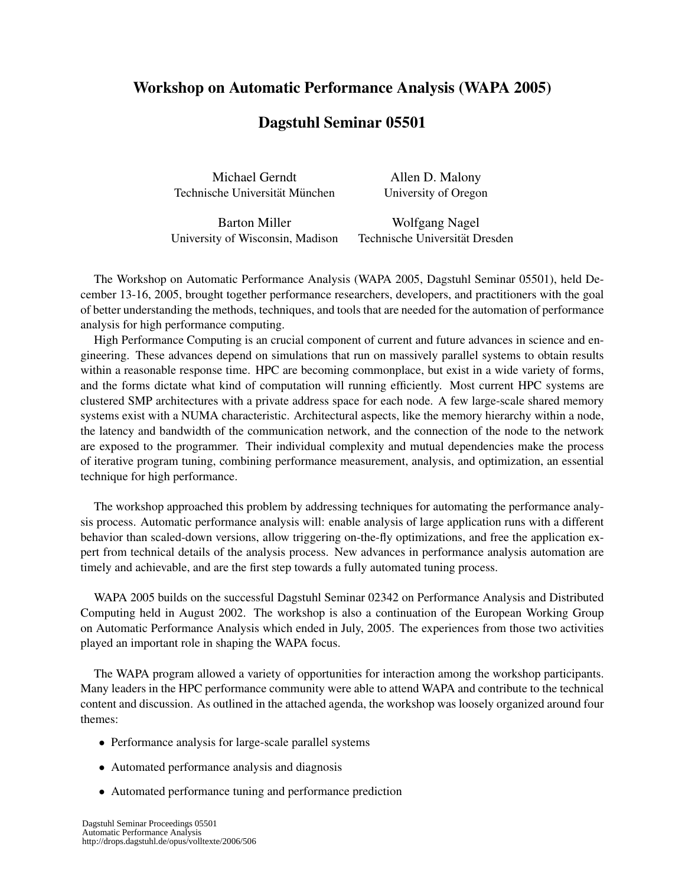# Workshop on Automatic Performance Analysis (WAPA 2005)

## Dagstuhl Seminar 05501

Michael Gerndt Allen D. Malony Technische Universität München University of Oregon

University of Wisconsin, Madison Technische Universität Dresden

Barton Miller Wolfgang Nagel

The Workshop on Automatic Performance Analysis (WAPA 2005, Dagstuhl Seminar 05501), held December 13-16, 2005, brought together performance researchers, developers, and practitioners with the goal of better understanding the methods, techniques, and tools that are needed for the automation of performance analysis for high performance computing.

High Performance Computing is an crucial component of current and future advances in science and engineering. These advances depend on simulations that run on massively parallel systems to obtain results within a reasonable response time. HPC are becoming commonplace, but exist in a wide variety of forms, and the forms dictate what kind of computation will running efficiently. Most current HPC systems are clustered SMP architectures with a private address space for each node. A few large-scale shared memory systems exist with a NUMA characteristic. Architectural aspects, like the memory hierarchy within a node, the latency and bandwidth of the communication network, and the connection of the node to the network are exposed to the programmer. Their individual complexity and mutual dependencies make the process of iterative program tuning, combining performance measurement, analysis, and optimization, an essential technique for high performance.

The workshop approached this problem by addressing techniques for automating the performance analysis process. Automatic performance analysis will: enable analysis of large application runs with a different behavior than scaled-down versions, allow triggering on-the-fly optimizations, and free the application expert from technical details of the analysis process. New advances in performance analysis automation are timely and achievable, and are the first step towards a fully automated tuning process.

WAPA 2005 builds on the successful Dagstuhl Seminar 02342 on Performance Analysis and Distributed Computing held in August 2002. The workshop is also a continuation of the European Working Group on Automatic Performance Analysis which ended in July, 2005. The experiences from those two activities played an important role in shaping the WAPA focus.

The WAPA program allowed a variety of opportunities for interaction among the workshop participants. Many leaders in the HPC performance community were able to attend WAPA and contribute to the technical content and discussion. As outlined in the attached agenda, the workshop was loosely organized around four themes:

- Performance analysis for large-scale parallel systems
- Automated performance analysis and diagnosis
- Automated performance tuning and performance prediction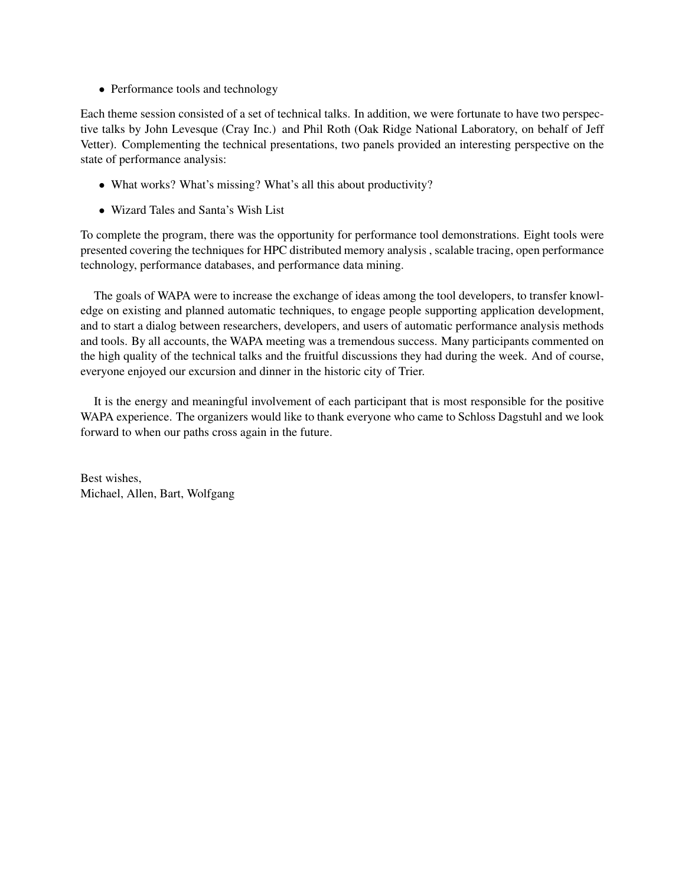• Performance tools and technology

Each theme session consisted of a set of technical talks. In addition, we were fortunate to have two perspective talks by John Levesque (Cray Inc.) and Phil Roth (Oak Ridge National Laboratory, on behalf of Jeff Vetter). Complementing the technical presentations, two panels provided an interesting perspective on the state of performance analysis:

- What works? What's missing? What's all this about productivity?
- Wizard Tales and Santa's Wish List

To complete the program, there was the opportunity for performance tool demonstrations. Eight tools were presented covering the techniques for HPC distributed memory analysis , scalable tracing, open performance technology, performance databases, and performance data mining.

The goals of WAPA were to increase the exchange of ideas among the tool developers, to transfer knowledge on existing and planned automatic techniques, to engage people supporting application development, and to start a dialog between researchers, developers, and users of automatic performance analysis methods and tools. By all accounts, the WAPA meeting was a tremendous success. Many participants commented on the high quality of the technical talks and the fruitful discussions they had during the week. And of course, everyone enjoyed our excursion and dinner in the historic city of Trier.

It is the energy and meaningful involvement of each participant that is most responsible for the positive WAPA experience. The organizers would like to thank everyone who came to Schloss Dagstuhl and we look forward to when our paths cross again in the future.

Best wishes, Michael, Allen, Bart, Wolfgang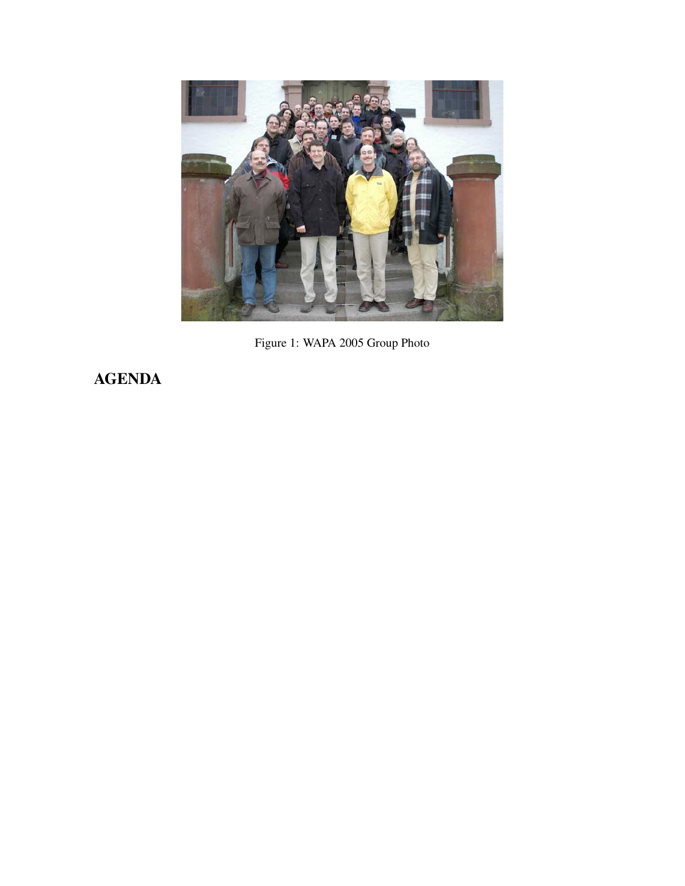

Figure 1: WAPA 2005 Group Photo

AGENDA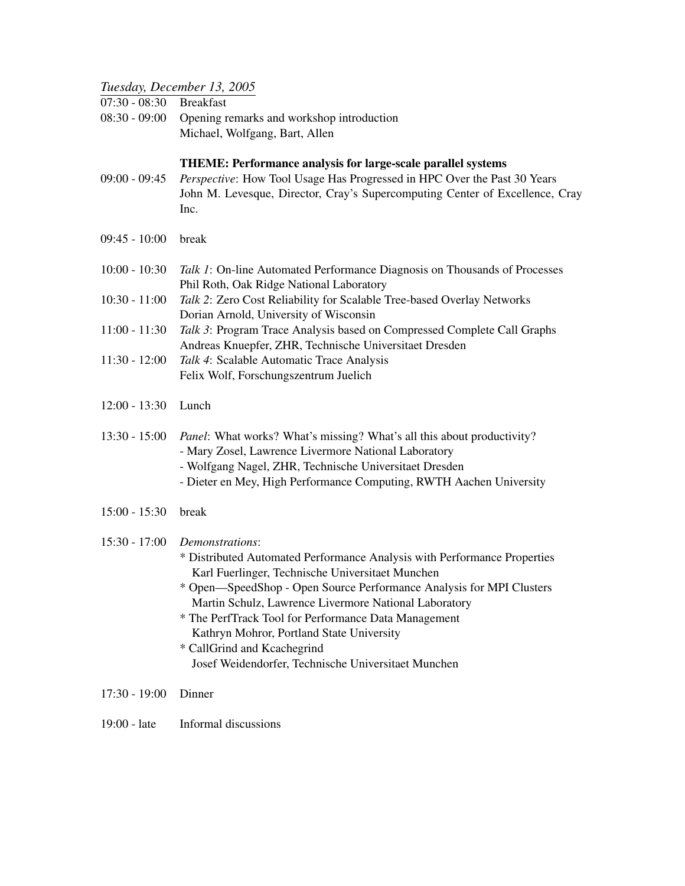#### *Tuesday, December 13, 2005*

07:30 - 08:30 Breakfast

08:30 - 09:00 Opening remarks and workshop introduction Michael, Wolfgang, Bart, Allen

#### THEME: Performance analysis for large-scale parallel systems

- 09:00 09:45 *Perspective*: How Tool Usage Has Progressed in HPC Over the Past 30 Years John M. Levesque, Director, Cray's Supercomputing Center of Excellence, Cray Inc.
- 09:45 10:00 break

| 10:00 - 10:30 <i>Talk 1</i> : On-line Automated Performance Diagnosis on Thousands of Processes |
|-------------------------------------------------------------------------------------------------|
| Phil Roth, Oak Ridge National Laboratory                                                        |

- 10:30 11:00 *Talk 2*: Zero Cost Reliability for Scalable Tree-based Overlay Networks Dorian Arnold, University of Wisconsin
- 11:00 11:30 *Talk 3*: Program Trace Analysis based on Compressed Complete Call Graphs Andreas Knuepfer, ZHR, Technische Universitaet Dresden
- 11:30 12:00 *Talk 4*: Scalable Automatic Trace Analysis Felix Wolf, Forschungszentrum Juelich
- 12:00 13:30 Lunch
- 13:30 15:00 *Panel*: What works? What's missing? What's all this about productivity? - Mary Zosel, Lawrence Livermore National Laboratory
	- Wolfgang Nagel, ZHR, Technische Universitaet Dresden
	- Dieter en Mey, High Performance Computing, RWTH Aachen University
- 15:00 15:30 break

### 15:30 - 17:00 *Demonstrations*:

- \* Distributed Automated Performance Analysis with Performance Properties Karl Fuerlinger, Technische Universitaet Munchen
- \* Open—SpeedShop Open Source Performance Analysis for MPI Clusters Martin Schulz, Lawrence Livermore National Laboratory
- \* The PerfTrack Tool for Performance Data Management Kathryn Mohror, Portland State University
- \* CallGrind and Kcachegrind Josef Weidendorfer, Technische Universitaet Munchen
- 17:30 19:00 Dinner
- 19:00 late Informal discussions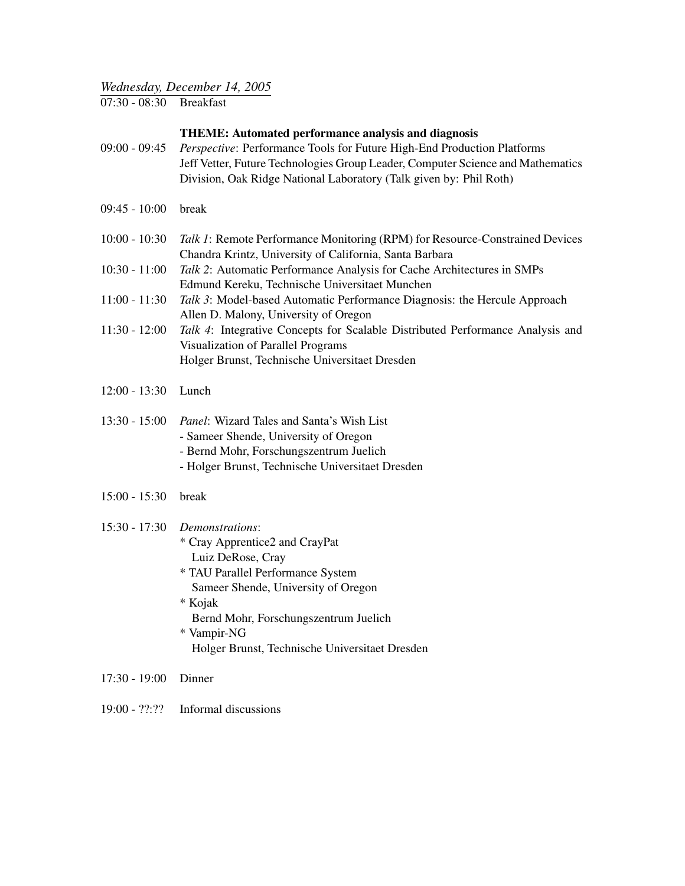### *Wednesday, December 14, 2005*

07:30 - 08:30 Breakfast

#### THEME: Automated performance analysis and diagnosis

- 09:00 09:45 *Perspective*: Performance Tools for Future High-End Production Platforms Jeff Vetter, Future Technologies Group Leader, Computer Science and Mathematics Division, Oak Ridge National Laboratory (Talk given by: Phil Roth)
- 09:45 10:00 break
- 10:00 10:30 *Talk 1*: Remote Performance Monitoring (RPM) for Resource-Constrained Devices Chandra Krintz, University of California, Santa Barbara
- 10:30 11:00 *Talk 2*: Automatic Performance Analysis for Cache Architectures in SMPs Edmund Kereku, Technische Universitaet Munchen
- 11:00 11:30 *Talk 3*: Model-based Automatic Performance Diagnosis: the Hercule Approach Allen D. Malony, University of Oregon
- 11:30 12:00 *Talk 4*: Integrative Concepts for Scalable Distributed Performance Analysis and Visualization of Parallel Programs Holger Brunst, Technische Universitaet Dresden
- 12:00 13:30 Lunch
- 13:30 15:00 *Panel*: Wizard Tales and Santa's Wish List - Sameer Shende, University of Oregon - Bernd Mohr, Forschungszentrum Juelich
	- Holger Brunst, Technische Universitaet Dresden
- 15:00 15:30 break

### 15:30 - 17:30 *Demonstrations*:

- \* Cray Apprentice2 and CrayPat Luiz DeRose, Cray
- \* TAU Parallel Performance System Sameer Shende, University of Oregon
- \* Kojak

Bernd Mohr, Forschungszentrum Juelich

- \* Vampir-NG Holger Brunst, Technische Universitaet Dresden
- 17:30 19:00 Dinner
- 19:00 ??:?? Informal discussions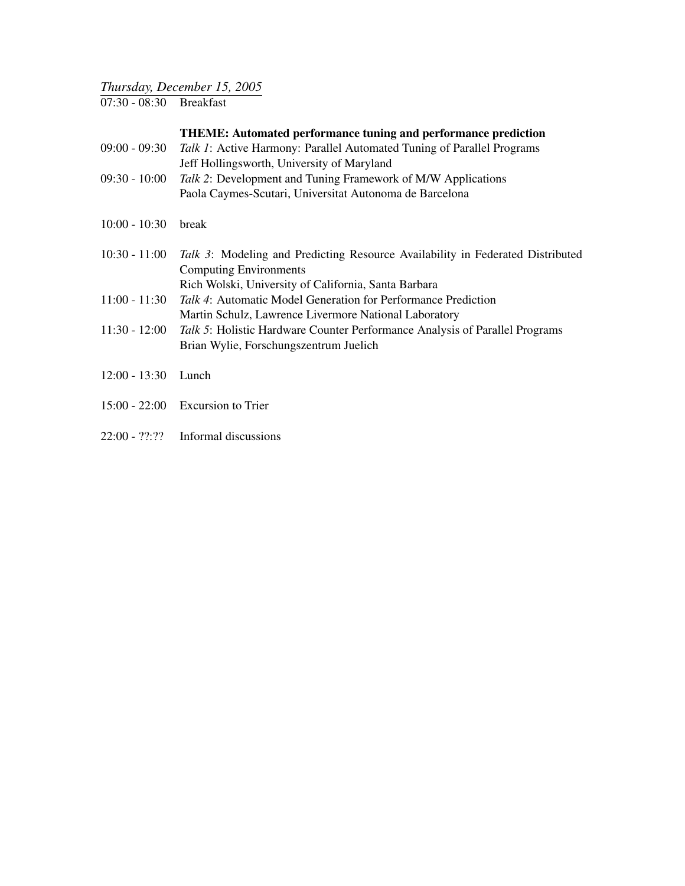## *Thursday, December 15, 2005*

07:30 - 08:30 Breakfast

| $09:00 - 09:30$ | <i>Talk 1:</i> Active Harmony: Parallel Automated Tuning of Parallel Programs |
|-----------------|-------------------------------------------------------------------------------|
|                 | Jeff Hollingsworth, University of Maryland                                    |
| $09:30 - 10:00$ | <i>Talk 2:</i> Development and Tuning Framework of M/W Applications           |

- Paola Caymes-Scutari, Universitat Autonoma de Barcelona
- 10:00 10:30 break

| 10:30 - 11:00 <i>Talk 3</i> : Modeling and Predicting Resource Availability in Federated Distributed |
|------------------------------------------------------------------------------------------------------|
| Computing Environments                                                                               |
| Rich Wolski, University of California, Santa Barbara                                                 |

- 11:00 11:30 *Talk 4*: Automatic Model Generation for Performance Prediction Martin Schulz, Lawrence Livermore National Laboratory
- 11:30 12:00 *Talk 5*: Holistic Hardware Counter Performance Analysis of Parallel Programs Brian Wylie, Forschungszentrum Juelich
- 12:00 13:30 Lunch
- 15:00 22:00 Excursion to Trier
- 22:00 ??:?? Informal discussions